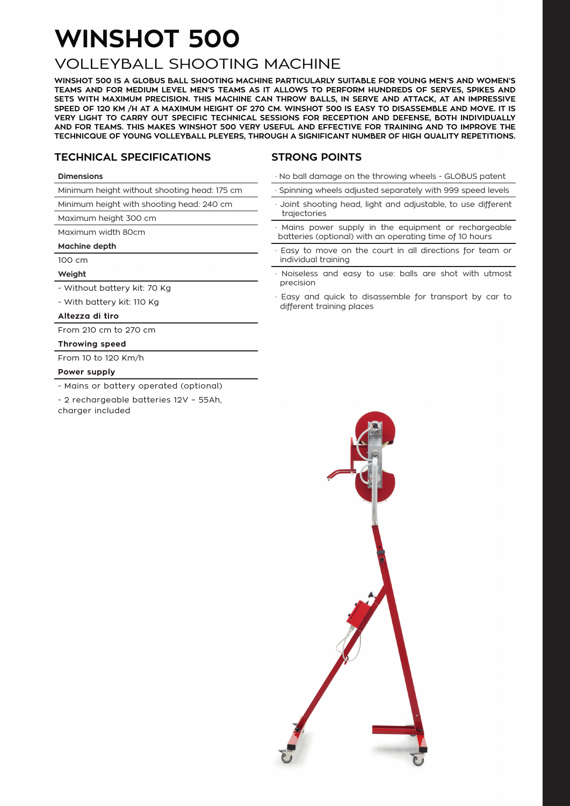## **WINSHOT 500**

### VOLLEYBALL SHOOTING MACHINE

**WINSHOT 500 IS A GLOBUS BALL SHOOTING MACHINE PARTICULARLY SUITABLE FOR YOUNG MEN'S AND WOMEN'S TEAMS AND FOR MEDIUM LEVEL MEN'S TEAMS AS IT ALLOWS TO PERFORM HUNDREDS OF SERVES, SPIKES AND SETS WITH MAXIMUM PRECISION. THIS MACHINE CAN THROW BALLS, IN SERVE AND ATTACK, AT AN IMPRESSIVE SPEED OF 120 KM /H AT A MAXIMUM HEIGHT OF 270 CM. WINSHOT 500 IS EASY TO DISASSEMBLE AND MOVE. IT IS VERY LIGHT TO CARRY OUT SPECIFIC TECHNICAL SESSIONS FOR RECEPTION AND DEFENSE, BOTH INDIVIDUALLY AND FOR TEAMS. THIS MAKES WINSHOT 500 VERY USEFUL AND EFFECTIVE FOR TRAINING AND TO IMPROVE THE TECHNICQUE OF YOUNG VOLLEYBALL PLEYERS, THROUGH A SIGNIFICANT NUMBER OF HIGH QUALITY REPETITIONS.**

#### **TECHNICAL SPECIFICATIONS**

#### **STRONG POINTS**

#### **Dimensions**

Minimum height without shooting head: 175 cm

Minimum height with shooting head: 240 cm

Maximum height 300 cm

Maximum width 80cm

#### **Machine depth**

100 cm

#### **Weight**

- Without battery kit: 70 Kg

- With battery kit: 110 Kg

#### **Altezza di tiro**

From 210 cm to 270 cm

#### **Throwing speed**

From 10 to 120 Km/h

#### **Power supply**

- Mains or battery operated (optional)

- 2 rechargeable batteries 12V – 55Ah,

charger included

- · No ball damage on the throwing wheels GLOBUS patent
- Spinning wheels adjusted separately with 999 speed levels
- Joint shooting head, light and adjustable, to use different trajectories
- Mains power supply in the equipment or rechargeable batteries (optional) with an operating time of 10 hours
- Easy to move on the court in all directions for team or individual training
- Noiseless and easy to use: balls are shot with utmost precision
- · Easy and quick to disassemble for transport by car to different training places